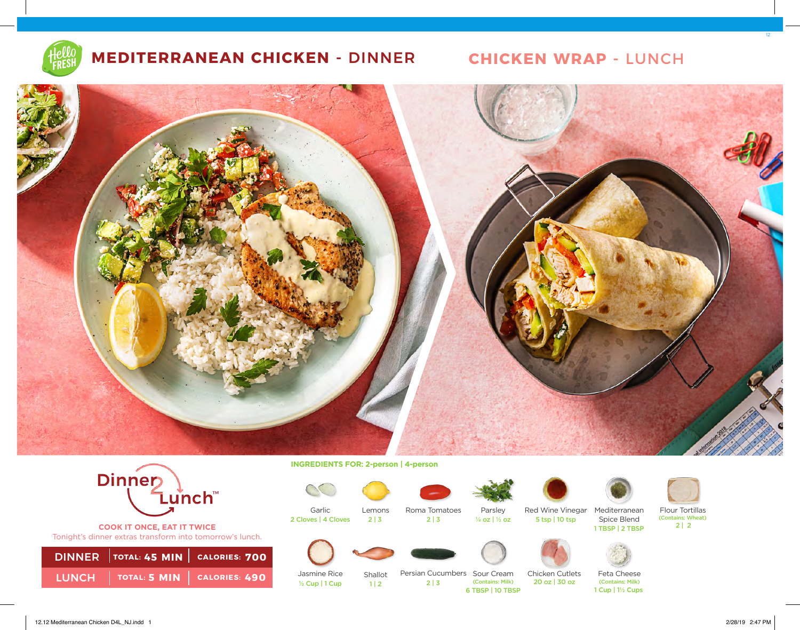

## **MEDITERRANEAN CHICKEN -** DINNER **CHICKEN WRAP -** LUNCH



**COOK IT ONCE, EAT IT TWICE**  Tonight's dinner extras transform into tomorrow's lunch.

| DINNER TOTAL: 45 MIN   CALORIES: 700                                                                        |  |
|-------------------------------------------------------------------------------------------------------------|--|
| $\overline{\phantom{a}}$ LUNCH $\overline{\phantom{a}}$ Total: 5 MIN $\overline{\phantom{a}}$ Calories: 490 |  |

**INGREDIENTS FOR: 2-person | 4-person** 

2 Cloves | 4 Cloves 2 | 3 2 | 3

Lemons  $2 | 3$ 

 $\frac{1}{2}$  Cup | 1 Cup | 2 | 3

 $1 | 2$ 



Garlic







Parsley Red Wine Vinegar Mediterranean Flour Tortillas



5 tsp | 10 tsp



(Contains: Wheat)<br> $2 | 2$ ¼ oz | ½ oz 2 | 2 1 TBSP | 2 TBSP

Jasmine Rice

Shallot



Persian Cucumbers Sour Cream (Contains: Milk)

Chicken Cutlets 20 oz | 30 oz 6 TBSP | 10 TBSP

Feta Cheese (Contains: Milk) 1 Cup | 1½ Cups

Spice Blend

12.12 Mediterranean Chicken D4L\_NJ.indd 1 2/28/19 2:47 PM

12